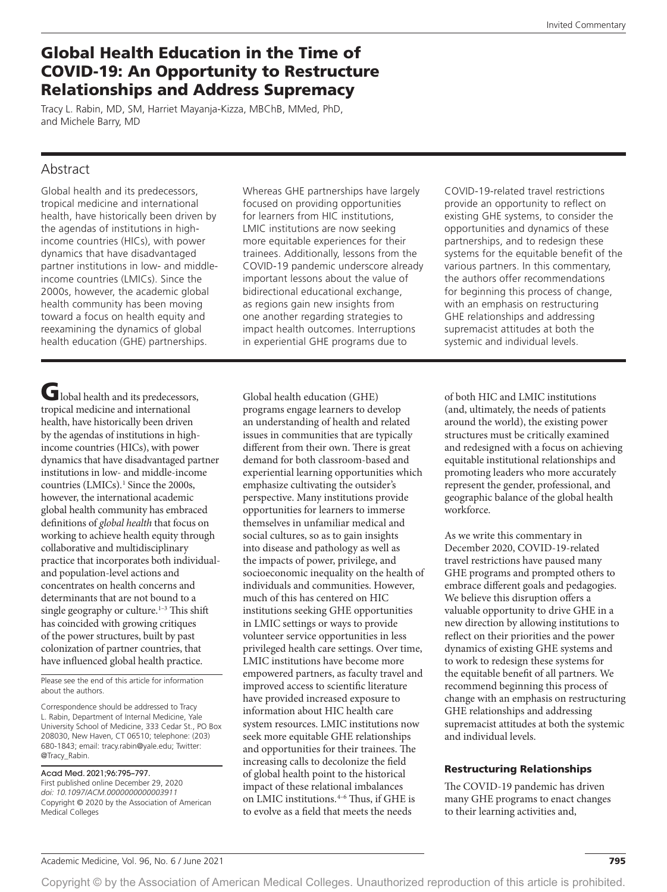# Global Health Education in the Time of COVID-19: An Opportunity to Restructure Relationships and Address Supremacy

Tracy L. Rabin, MD, SM, Harriet Mayanja-Kizza, MBChB, MMed, PhD, and Michele Barry, MD

## Abstract

Global health and its predecessors, tropical medicine and international health, have historically been driven by the agendas of institutions in highincome countries (HICs), with power dynamics that have disadvantaged partner institutions in low- and middleincome countries (LMICs). Since the 2000s, however, the academic global health community has been moving toward a focus on health equity and reexamining the dynamics of global health education (GHE) partnerships.

Global health and its predecessors, tropical medicine and international health, have historically been driven by the agendas of institutions in highincome countries (HICs), with power dynamics that have disadvantaged partner institutions in low- and middle-income countries (LMICs).<sup>1</sup> Since the 2000s, however, the international academic global health community has embraced definitions of *global health* that focus on working to achieve health equity through collaborative and multidisciplinary practice that incorporates both individualand population-level actions and concentrates on health concerns and determinants that are not bound to a single geography or culture.<sup>1-3</sup> This shift has coincided with growing critiques of the power structures, built by past colonization of partner countries, that have influenced global health practice.

Please see the end of this article for information about the authors.

Correspondence should be addressed to Tracy L. Rabin, Department of Internal Medicine, Yale University School of Medicine, 333 Cedar St., PO Box 208030, New Haven, CT 06510; telephone: (203) 680-1843; email: [tracy.rabin@yale.edu;](mailto:tracy.rabin@yale.edu) Twitter: @Tracy\_Rabin.

Acad Med. 2021;96:795–797. First published online December 29, 2020 *doi: 10.1097/ACM.0000000000003911* Copyright © 2020 by the Association of American Medical Colleges

Whereas GHE partnerships have largely focused on providing opportunities for learners from HIC institutions, LMIC institutions are now seeking more equitable experiences for their trainees. Additionally, lessons from the COVID-19 pandemic underscore already important lessons about the value of bidirectional educational exchange, as regions gain new insights from one another regarding strategies to impact health outcomes. Interruptions in experiential GHE programs due to

Global health education (GHE) programs engage learners to develop an understanding of health and related issues in communities that are typically different from their own. There is great demand for both classroom-based and experiential learning opportunities which emphasize cultivating the outsider's perspective. Many institutions provide opportunities for learners to immerse themselves in unfamiliar medical and social cultures, so as to gain insights into disease and pathology as well as the impacts of power, privilege, and socioeconomic inequality on the health of individuals and communities. However, much of this has centered on HIC institutions seeking GHE opportunities in LMIC settings or ways to provide volunteer service opportunities in less privileged health care settings. Over time, LMIC institutions have become more empowered partners, as faculty travel and improved access to scientific literature have provided increased exposure to information about HIC health care system resources. LMIC institutions now seek more equitable GHE relationships and opportunities for their trainees. The increasing calls to decolonize the field of global health point to the historical impact of these relational imbalances on LMIC institutions.4–6 Thus, if GHE is to evolve as a field that meets the needs

COVID-19-related travel restrictions provide an opportunity to reflect on existing GHE systems, to consider the opportunities and dynamics of these partnerships, and to redesign these systems for the equitable benefit of the various partners. In this commentary, the authors offer recommendations for beginning this process of change, with an emphasis on restructuring GHE relationships and addressing supremacist attitudes at both the systemic and individual levels.

of both HIC and LMIC institutions (and, ultimately, the needs of patients around the world), the existing power structures must be critically examined and redesigned with a focus on achieving equitable institutional relationships and promoting leaders who more accurately represent the gender, professional, and geographic balance of the global health workforce.

As we write this commentary in December 2020, COVID-19-related travel restrictions have paused many GHE programs and prompted others to embrace different goals and pedagogies. We believe this disruption offers a valuable opportunity to drive GHE in a new direction by allowing institutions to reflect on their priorities and the power dynamics of existing GHE systems and to work to redesign these systems for the equitable benefit of all partners. We recommend beginning this process of change with an emphasis on restructuring GHE relationships and addressing supremacist attitudes at both the systemic and individual levels.

### Restructuring Relationships

The COVID-19 pandemic has driven many GHE programs to enact changes to their learning activities and,

Copyright © by the Association of American Medical Colleges. Unauthorized reproduction of this article is prohibited.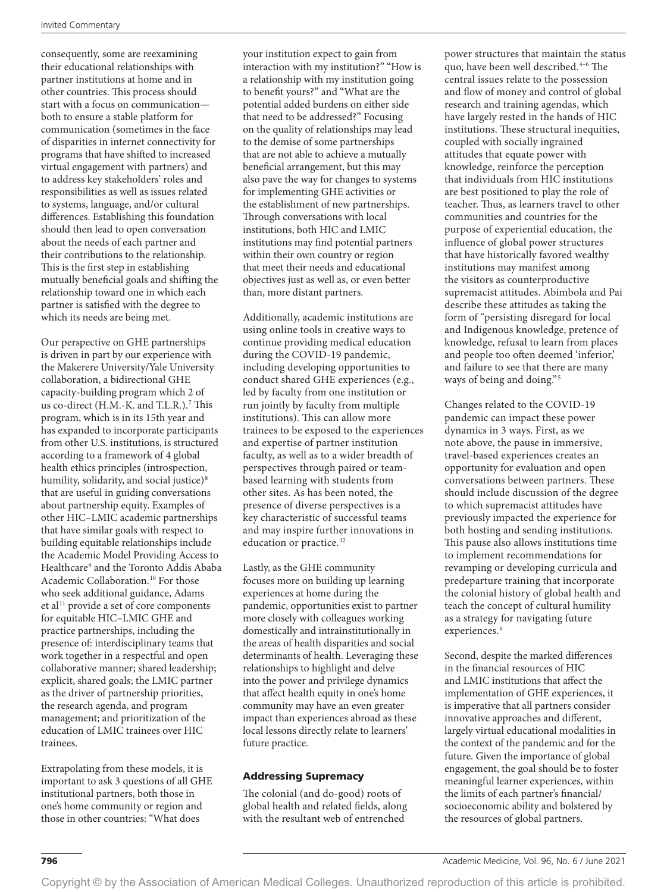consequently, some are reexamining their educational relationships with partner institutions at home and in other countries. This process should start with a focus on communication both to ensure a stable platform for communication (sometimes in the face of disparities in internet connectivity for programs that have shifted to increased virtual engagement with partners) and to address key stakeholders' roles and responsibilities as well as issues related to systems, language, and/or cultural differences. Establishing this foundation should then lead to open conversation about the needs of each partner and their contributions to the relationship. This is the first step in establishing mutually beneficial goals and shifting the relationship toward one in which each partner is satisfied with the degree to which its needs are being met.

Our perspective on GHE partnerships is driven in part by our experience with the Makerere University/Yale University collaboration, a bidirectional GHE capacity-building program which 2 of us co-direct (H.M.-K. and T.L.R.).7 This program, which is in its 15th year and has expanded to incorporate participants from other U.S. institutions, is structured according to a framework of 4 global health ethics principles (introspection, humility, solidarity, and social justice)<sup>8</sup> that are useful in guiding conversations about partnership equity. Examples of other HIC–LMIC academic partnerships that have similar goals with respect to building equitable relationships include the Academic Model Providing Access to Healthcare9 and the Toronto Addis Ababa Academic Collaboration.<sup>10</sup> For those who seek additional guidance, Adams et al<sup>11</sup> provide a set of core components for equitable HIC–LMIC GHE and practice partnerships, including the presence of: interdisciplinary teams that work together in a respectful and open collaborative manner; shared leadership; explicit, shared goals; the LMIC partner as the driver of partnership priorities, the research agenda, and program management; and prioritization of the education of LMIC trainees over HIC trainees.

Extrapolating from these models, it is important to ask 3 questions of all GHE institutional partners, both those in one's home community or region and those in other countries: "What does

your institution expect to gain from interaction with my institution?" "How is a relationship with my institution going to benefit yours?" and "What are the potential added burdens on either side that need to be addressed?" Focusing on the quality of relationships may lead to the demise of some partnerships that are not able to achieve a mutually beneficial arrangement, but this may also pave the way for changes to systems for implementing GHE activities or the establishment of new partnerships. Through conversations with local institutions, both HIC and LMIC institutions may find potential partners within their own country or region that meet their needs and educational objectives just as well as, or even better than, more distant partners.

Additionally, academic institutions are using online tools in creative ways to continue providing medical education during the COVID-19 pandemic, including developing opportunities to conduct shared GHE experiences (e.g., led by faculty from one institution or run jointly by faculty from multiple institutions). This can allow more trainees to be exposed to the experiences and expertise of partner institution faculty, as well as to a wider breadth of perspectives through paired or teambased learning with students from other sites. As has been noted, the presence of diverse perspectives is a key characteristic of successful teams and may inspire further innovations in education or practice.<sup>12</sup>

Lastly, as the GHE community focuses more on building up learning experiences at home during the pandemic, opportunities exist to partner more closely with colleagues working domestically and intrainstitutionally in the areas of health disparities and social determinants of health. Leveraging these relationships to highlight and delve into the power and privilege dynamics that affect health equity in one's home community may have an even greater impact than experiences abroad as these local lessons directly relate to learners' future practice.

### Addressing Supremacy

The colonial (and do-good) roots of global health and related fields, along with the resultant web of entrenched

power structures that maintain the status quo, have been well described.4–6 The central issues relate to the possession and flow of money and control of global research and training agendas, which have largely rested in the hands of HIC institutions. These structural inequities, coupled with socially ingrained attitudes that equate power with knowledge, reinforce the perception that individuals from HIC institutions are best positioned to play the role of teacher. Thus, as learners travel to other communities and countries for the purpose of experiential education, the influence of global power structures that have historically favored wealthy institutions may manifest among the visitors as counterproductive supremacist attitudes. Abimbola and Pai describe these attitudes as taking the form of "persisting disregard for local and Indigenous knowledge, pretence of knowledge, refusal to learn from places and people too often deemed 'inferior,' and failure to see that there are many ways of being and doing."<sup>5</sup>

Changes related to the COVID-19 pandemic can impact these power dynamics in 3 ways. First, as we note above, the pause in immersive, travel-based experiences creates an opportunity for evaluation and open conversations between partners. These should include discussion of the degree to which supremacist attitudes have previously impacted the experience for both hosting and sending institutions. This pause also allows institutions time to implement recommendations for revamping or developing curricula and predeparture training that incorporate the colonial history of global health and teach the concept of cultural humility as a strategy for navigating future experiences.<sup>6</sup>

Second, despite the marked differences in the financial resources of HIC and LMIC institutions that affect the implementation of GHE experiences, it is imperative that all partners consider innovative approaches and different, largely virtual educational modalities in the context of the pandemic and for the future. Given the importance of global engagement, the goal should be to foster meaningful learner experiences, within the limits of each partner's financial/ socioeconomic ability and bolstered by the resources of global partners.

796 Academic Medicine, Vol. 96, No. 6 / June 2021